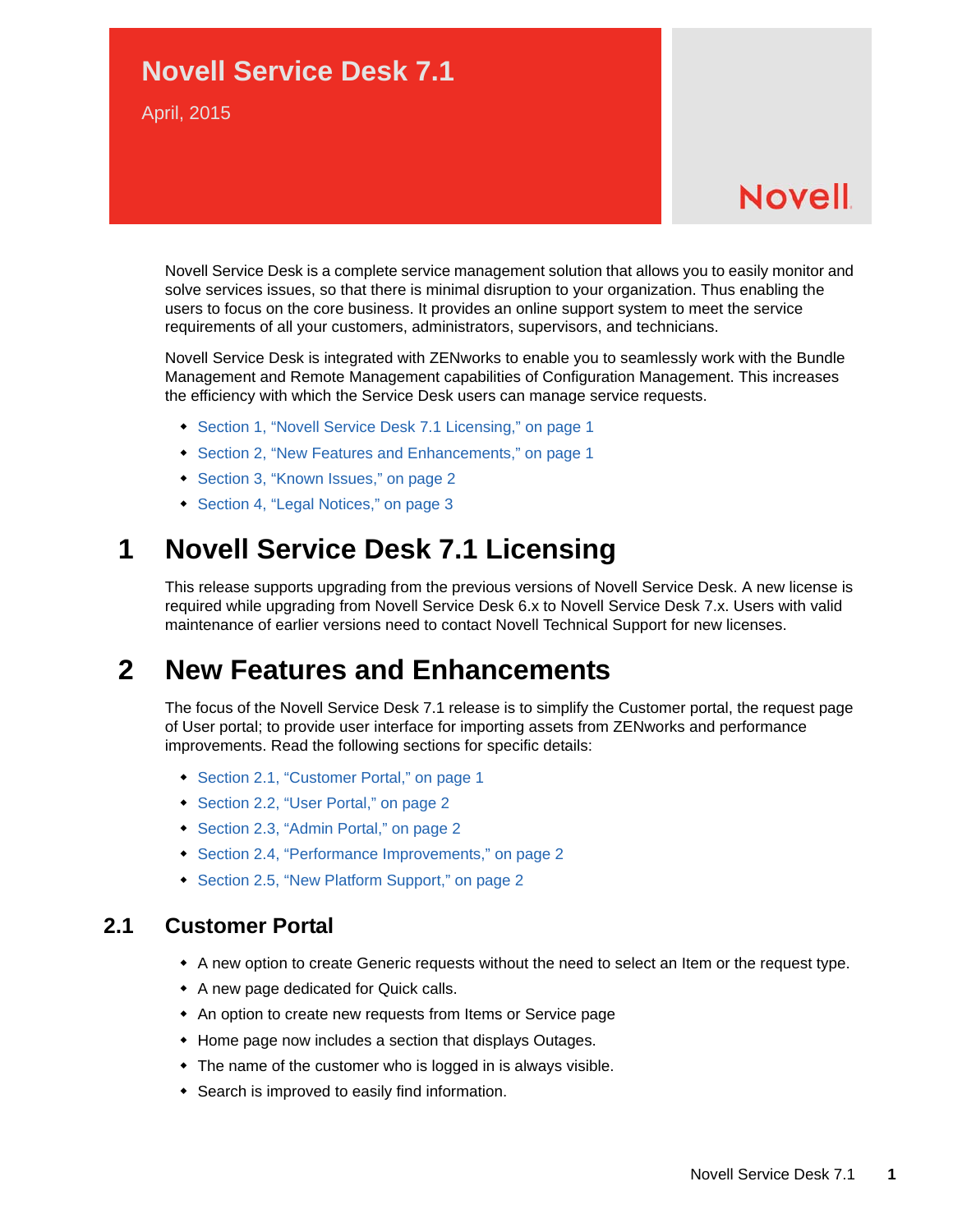### **Novell Service Desk 7.1**

April, 2015

# **Novell**

Novell Service Desk is a complete service management solution that allows you to easily monitor and solve services issues, so that there is minimal disruption to your organization. Thus enabling the users to focus on the core business. It provides an online support system to meet the service requirements of all your customers, administrators, supervisors, and technicians.

Novell Service Desk is integrated with ZENworks to enable you to seamlessly work with the Bundle Management and Remote Management capabilities of Configuration Management. This increases the efficiency with which the Service Desk users can manage service requests.

- [Section 1, "Novell Service Desk 7.1 Licensing," on page 1](#page-0-1)
- [Section 2, "New Features and Enhancements," on page 1](#page-0-2)
- [Section 3, "Known Issues," on page 2](#page-1-0)
- [Section 4, "Legal Notices," on page 3](#page-2-0)

### <span id="page-0-1"></span>**1 Novell Service Desk 7.1 Licensing**

This release supports upgrading from the previous versions of Novell Service Desk. A new license is required while upgrading from Novell Service Desk 6.x to Novell Service Desk 7.x. Users with valid maintenance of earlier versions need to contact Novell Technical Support for new licenses.

### <span id="page-0-2"></span>**2 New Features and Enhancements**

The focus of the Novell Service Desk 7.1 release is to simplify the Customer portal, the request page of User portal; to provide user interface for importing assets from ZENworks and performance improvements. Read the following sections for specific details:

- [Section 2.1, "Customer Portal," on page 1](#page-0-0)
- [Section 2.2, "User Portal," on page 2](#page-1-1)
- [Section 2.3, "Admin Portal," on page 2](#page-1-2)
- [Section 2.4, "Performance Improvements," on page 2](#page-1-3)
- [Section 2.5, "New Platform Support," on page 2](#page-1-4)

#### <span id="page-0-0"></span>**2.1 Customer Portal**

- A new option to create Generic requests without the need to select an Item or the request type.
- A new page dedicated for Quick calls.
- An option to create new requests from Items or Service page
- Home page now includes a section that displays Outages.
- The name of the customer who is logged in is always visible.
- Search is improved to easily find information.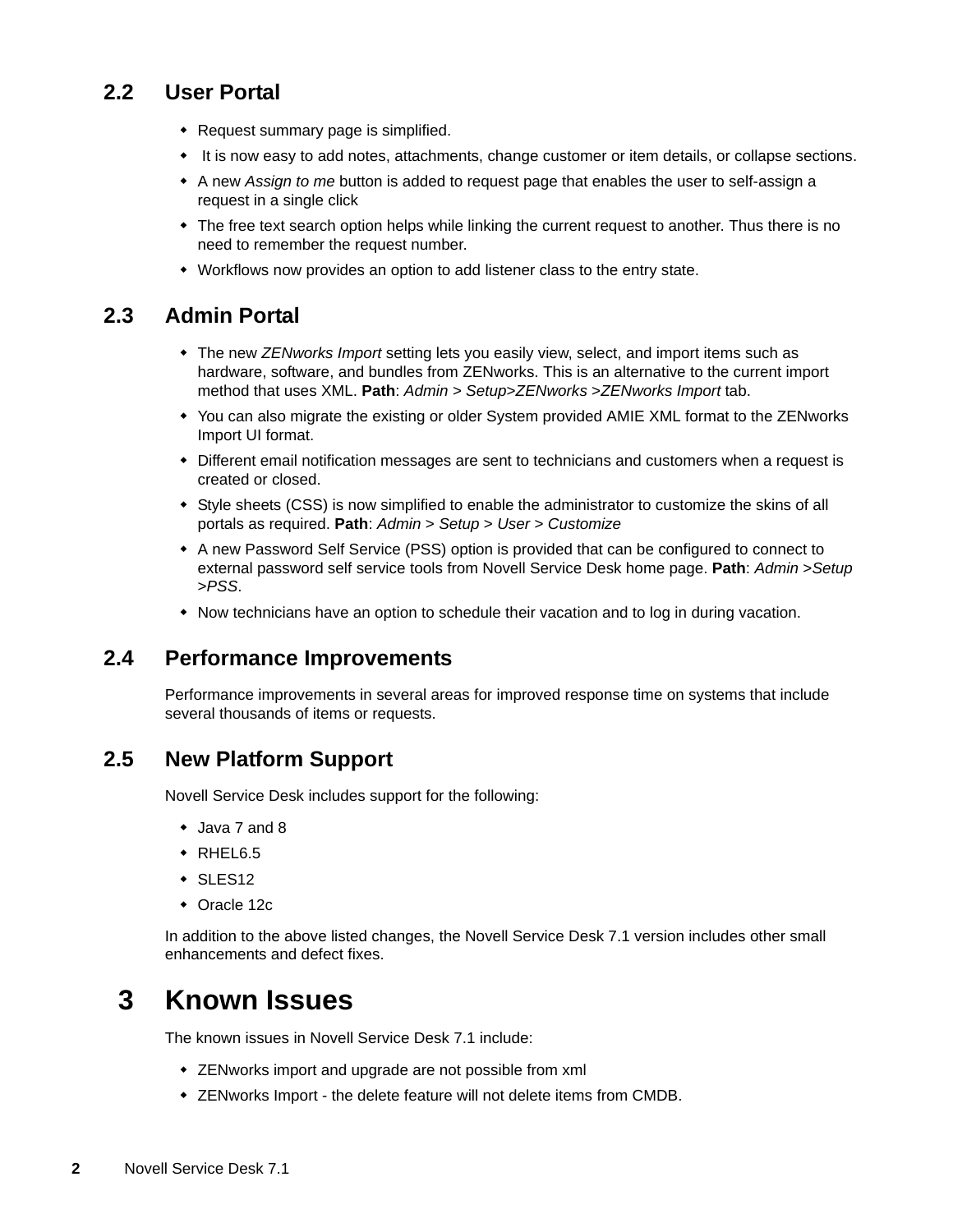#### <span id="page-1-1"></span>**2.2 User Portal**

- Request summary page is simplified.
- $\bullet$  It is now easy to add notes, attachments, change customer or item details, or collapse sections.
- A new *Assign to me* button is added to request page that enables the user to self-assign a request in a single click
- The free text search option helps while linking the current request to another. Thus there is no need to remember the request number.
- Workflows now provides an option to add listener class to the entry state.

#### <span id="page-1-2"></span>**2.3 Admin Portal**

- The new *ZENworks Import* setting lets you easily view, select, and import items such as hardware, software, and bundles from ZENworks. This is an alternative to the current import method that uses XML. **Path**: *Admin* > *Setup*>*ZENworks* >*ZENworks Import* tab.
- You can also migrate the existing or older System provided AMIE XML format to the ZENworks Import UI format.
- Different email notification messages are sent to technicians and customers when a request is created or closed.
- Style sheets (CSS) is now simplified to enable the administrator to customize the skins of all portals as required. **Path**: *Admin* > *Setup* > *User* > *Customize*
- A new Password Self Service (PSS) option is provided that can be configured to connect to external password self service tools from Novell Service Desk home page. **Path**: *Admin* >*Setup* >*PSS*.
- Now technicians have an option to schedule their vacation and to log in during vacation.

### <span id="page-1-3"></span>**2.4 Performance Improvements**

Performance improvements in several areas for improved response time on systems that include several thousands of items or requests.

#### <span id="page-1-4"></span>**2.5 New Platform Support**

Novell Service Desk includes support for the following:

- Java 7 and 8
- $\triangleleft$  RHEL6.5
- $\cdot$  SLES12
- Oracle 12c

In addition to the above listed changes, the Novell Service Desk 7.1 version includes other small enhancements and defect fixes.

### <span id="page-1-0"></span>**3 Known Issues**

The known issues in Novell Service Desk 7.1 include:

- ZENworks import and upgrade are not possible from xml
- ZENworks Import the delete feature will not delete items from CMDB.